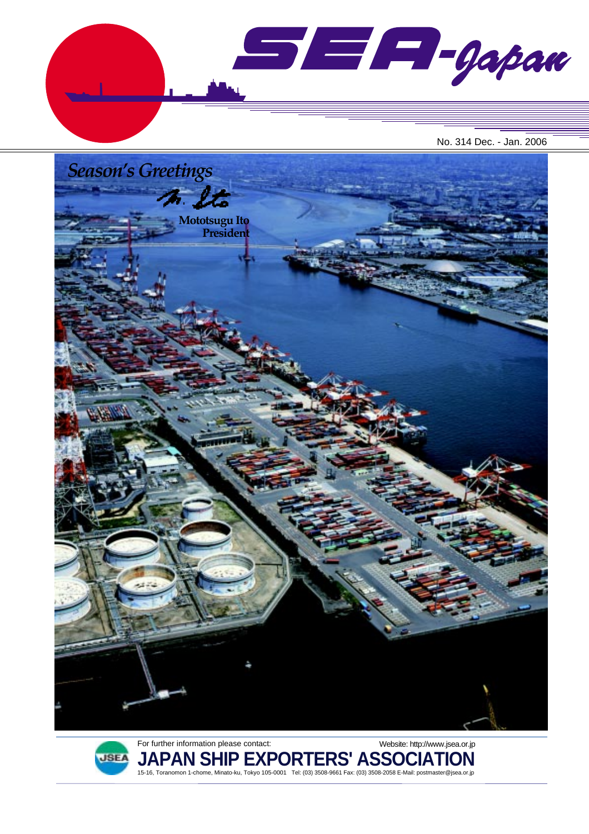

No. 314 Dec. - Jan. 2006





For further information please contact: **JAPAN SHIP EXPORTERS' ASSOCIATION** 15-16, Toranomon 1-chome, Minato-ku, Tokyo 105-0001 Tel: (03) 3508-9661 Fax: (03) 3508-2058 E-Mail: postmaster@jsea.or.jp Website: http://www.jsea.or.jp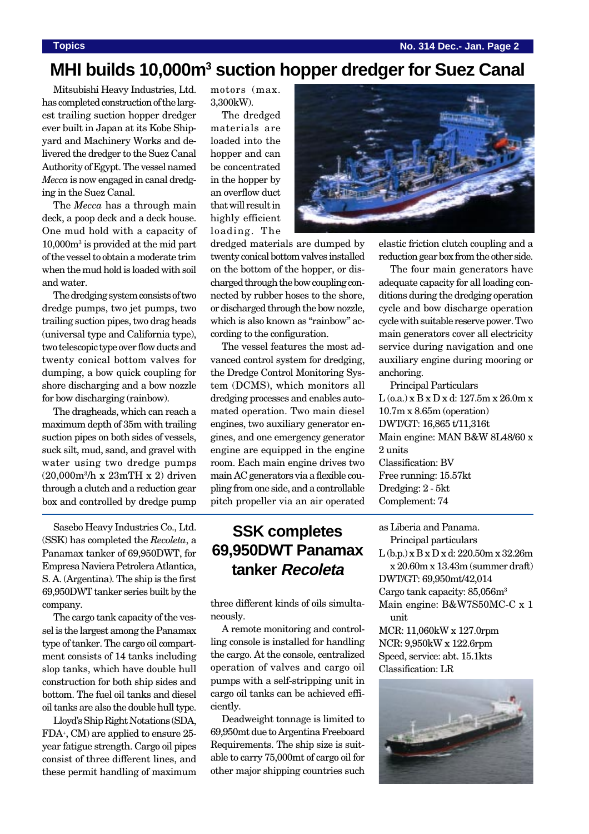**Topics No. 314 Dec.- Jan. Page 2**

### **MHI builds 10,000m3 suction hopper dredger for Suez Canal**

Mitsubishi Heavy Industries, Ltd. has completed construction of the largest trailing suction hopper dredger ever built in Japan at its Kobe Shipyard and Machinery Works and delivered the dredger to the Suez Canal Authority of Egypt. The vessel named *Mecca* is now engaged in canal dredging in the Suez Canal.

The *Mecca* has a through main deck, a poop deck and a deck house. One mud hold with a capacity of 10,000m3 is provided at the mid part of the vessel to obtain a moderate trim when the mud hold is loaded with soil and water.

The dredging system consists of two dredge pumps, two jet pumps, two trailing suction pipes, two drag heads (universal type and California type), two telescopic type over flow ducts and twenty conical bottom valves for dumping, a bow quick coupling for shore discharging and a bow nozzle for bow discharging (rainbow).

The dragheads, which can reach a maximum depth of 35m with trailing suction pipes on both sides of vessels, suck silt, mud, sand, and gravel with water using two dredge pumps (20,000m3/h x 23mTH x 2) driven through a clutch and a reduction gear box and controlled by dredge pump

Sasebo Heavy Industries Co., Ltd. (SSK) has completed the *Recoleta*, a Panamax tanker of 69,950DWT, for Empresa Naviera Petrolera Atlantica, S. A. (Argentina). The ship is the first 69,950DWT tanker series built by the company.

The cargo tank capacity of the vessel is the largest among the Panamax type of tanker. The cargo oil compartment consists of 14 tanks including slop tanks, which have double hull construction for both ship sides and bottom. The fuel oil tanks and diesel oil tanks are also the double hull type.

Lloyd's Ship Right Notations (SDA, FDA+, CM) are applied to ensure 25 year fatigue strength. Cargo oil pipes consist of three different lines, and these permit handling of maximum motors (max. 3,300kW).

The dredged materials are loaded into the hopper and can be concentrated in the hopper by an overflow duct that will result in highly efficient loading. The



dredged materials are dumped by twenty conical bottom valves installed on the bottom of the hopper, or discharged through the bow coupling connected by rubber hoses to the shore, or discharged through the bow nozzle, which is also known as "rainbow" according to the configuration.

The vessel features the most advanced control system for dredging, the Dredge Control Monitoring System (DCMS), which monitors all dredging processes and enables automated operation. Two main diesel engines, two auxiliary generator engines, and one emergency generator engine are equipped in the engine room. Each main engine drives two main AC generators via a flexible coupling from one side, and a controllable pitch propeller via an air operated

### **SSK completes 69,950DWT Panamax tanker Recoleta**

three different kinds of oils simultaneously.

A remote monitoring and controlling console is installed for handling the cargo. At the console, centralized operation of valves and cargo oil pumps with a self-stripping unit in cargo oil tanks can be achieved efficiently.

Deadweight tonnage is limited to 69,950mt due to Argentina Freeboard Requirements. The ship size is suitable to carry 75,000mt of cargo oil for other major shipping countries such

elastic friction clutch coupling and a reduction gear box from the other side.

The four main generators have adequate capacity for all loading conditions during the dredging operation cycle and bow discharge operation cycle with suitable reserve power. Two main generators cover all electricity service during navigation and one auxiliary engine during mooring or anchoring.

Principal Particulars L (o.a.) x B x D x d: 127.5m x 26.0m x 10.7m x 8.65m (operation) DWT/GT: 16,865 t/11,316t Main engine: MAN B&W 8L48/60 x 2 units Classification: BV Free running: 15.57kt Dredging: 2 - 5kt Complement: 74

as Liberia and Panama. Principal particulars L (b.p.) x B x D x d: 220.50m x 32.26m x 20.60m x 13.43m (summer draft) DWT/GT: 69,950mt/42,014 Cargo tank capacity: 85,056m<sup>3</sup> Main engine: B&W7S50MC-C x 1 unit MCR: 11,060kW x 127.0rpm NCR: 9,950kW x 122.6rpm Speed, service: abt. 15.1kts Classification: LR

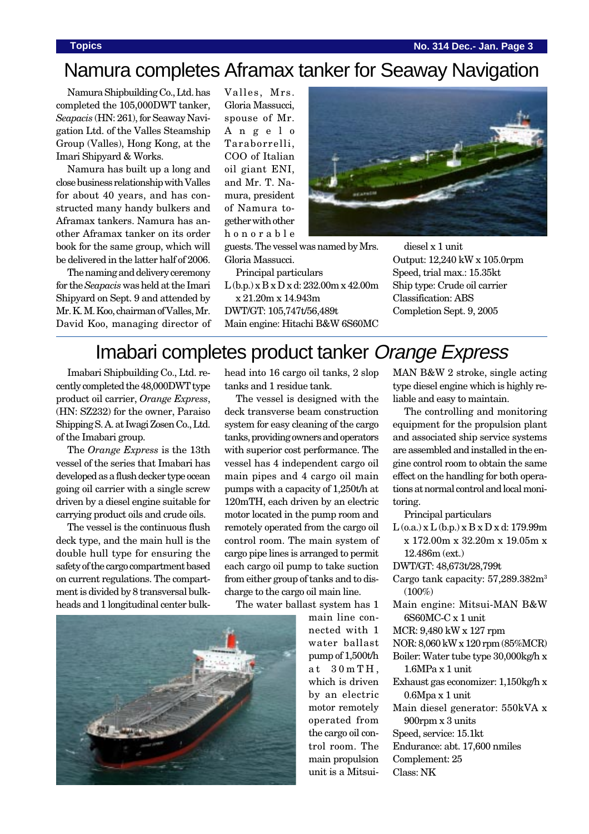### **Topics No. 314 Dec.- Jan. Page 3**

# Namura completes Aframax tanker for Seaway Navigation

Namura Shipbuilding Co., Ltd. has completed the 105,000DWT tanker, *Seapacis* (HN: 261), for Seaway Navigation Ltd. of the Valles Steamship Group (Valles), Hong Kong, at the Imari Shipyard & Works.

Namura has built up a long and close business relationship with Valles for about 40 years, and has constructed many handy bulkers and Aframax tankers. Namura has another Aframax tanker on its order book for the same group, which will be delivered in the latter half of 2006.

The naming and delivery ceremony for the *Seapacis* was held at the Imari Shipyard on Sept. 9 and attended by Mr. K. M. Koo, chairman of Valles, Mr. David Koo, managing director of Valles, Mrs. Gloria Massucci, spouse of Mr. Angelo Taraborrelli, COO of Italian oil giant ENI, and Mr. T. Namura, president of Namura together with other honorable



guests. The vessel was named by Mrs. Gloria Massucci.

Principal particulars

L (b.p.) x B x D x d: 232.00m x 42.00m x 21.20m x 14.943m DWT/GT: 105,747t/56,489t Main engine: Hitachi B&W 6S60MC

diesel x 1 unit Output: 12,240 kW x 105.0rpm Speed, trial max.: 15.35kt Ship type: Crude oil carrier Classification: ABS Completion Sept. 9, 2005

## Imabari completes product tanker Orange Express

Imabari Shipbuilding Co., Ltd. recently completed the 48,000DWT type product oil carrier, *Orange Express*, (HN: SZ232) for the owner, Paraiso Shipping S. A. at Iwagi Zosen Co., Ltd. of the Imabari group.

The *Orange Express* is the 13th vessel of the series that Imabari has developed as a flush decker type ocean going oil carrier with a single screw driven by a diesel engine suitable for carrying product oils and crude oils.

The vessel is the continuous flush deck type, and the main hull is the double hull type for ensuring the safety of the cargo compartment based on current regulations. The compartment is divided by 8 transversal bulkheads and 1 longitudinal center bulkhead into 16 cargo oil tanks, 2 slop tanks and 1 residue tank.

The vessel is designed with the deck transverse beam construction system for easy cleaning of the cargo tanks, providing owners and operators with superior cost performance. The vessel has 4 independent cargo oil main pipes and 4 cargo oil main pumps with a capacity of 1,250t/h at 120mTH, each driven by an electric motor located in the pump room and remotely operated from the cargo oil control room. The main system of cargo pipe lines is arranged to permit each cargo oil pump to take suction from either group of tanks and to discharge to the cargo oil main line.

The water ballast system has 1

main line connected with 1 water ballast pump of 1,500t/h at 30mTH, which is driven by an electric motor remotely operated from the cargo oil control room. The main propulsion unit is a MitsuiMAN B&W 2 stroke, single acting type diesel engine which is highly reliable and easy to maintain.

The controlling and monitoring equipment for the propulsion plant and associated ship service systems are assembled and installed in the engine control room to obtain the same effect on the handling for both operations at normal control and local monitoring.

Principal particulars

 $L$  (o.a.) x  $L$  (b.p.) x  $B$  x  $D$  x d: 179.99m x 172.00m x 32.20m x 19.05m x 12.486m (ext.)

DWT/GT: 48,673t/28,799t

Cargo tank capacity: 57,289.382m3  $(100\%)$ 

Main engine: Mitsui-MAN B&W 6S60MC-C x 1 unit

MCR: 9,480 kW x 127 rpm

NOR: 8,060 kW x 120 rpm (85%MCR)

Boiler: Water tube type 30,000kg/h x 1.6MPa x 1 unit

- Exhaust gas economizer: 1,150kg/h x 0.6Mpa x 1 unit
- Main diesel generator: 550kVA x 900rpm x 3 units
- Speed, service: 15.1kt
- Endurance: abt. 17,600 nmiles
- Complement: 25

Class: NK

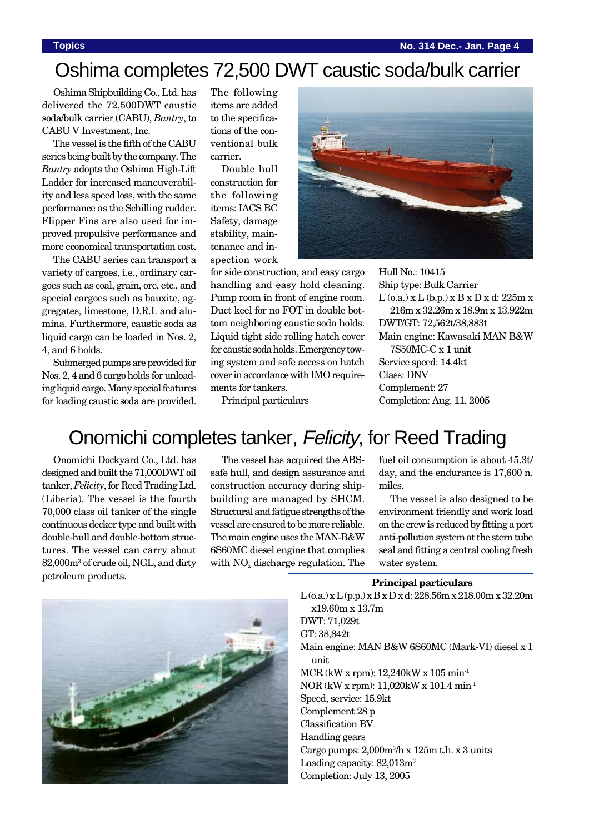# Oshima completes 72,500 DWT caustic soda/bulk carrier

Oshima Shipbuilding Co., Ltd. has delivered the 72,500DWT caustic soda/bulk carrier (CABU), *Bantry*, to CABU V Investment, Inc.

The vessel is the fifth of the CABU series being built by the company. The *Bantry* adopts the Oshima High-Lift Ladder for increased maneuverability and less speed loss, with the same performance as the Schilling rudder. Flipper Fins are also used for improved propulsive performance and more economical transportation cost.

The CABU series can transport a variety of cargoes, i.e., ordinary cargoes such as coal, grain, ore, etc., and special cargoes such as bauxite, aggregates, limestone, D.R.I. and alumina. Furthermore, caustic soda as liquid cargo can be loaded in Nos. 2, 4, and 6 holds.

Submerged pumps are provided for Nos. 2, 4 and 6 cargo holds for unloading liquid cargo. Many special features for loading caustic soda are provided.

The following items are added to the specifications of the conventional bulk carrier.

Double hull construction for the following items: IACS BC Safety, damage stability, maintenance and inspection work



Hull No.: 10415

for side construction, and easy cargo handling and easy hold cleaning. Pump room in front of engine room. Duct keel for no FOT in double bottom neighboring caustic soda holds. Liquid tight side rolling hatch cover for caustic soda holds. Emergency towing system and safe access on hatch cover in accordance with IMO requirements for tankers.

Ship type: Bulk Carrier L (o.a.) x L (b.p.) x B x D x d: 225m x 216m x 32.26m x 18.9m x 13.922m DWT/GT: 72,562t/38,883t Main engine: Kawasaki MAN B&W 7S50MC-C x 1 unit Service speed: 14.4kt Class: DNV Complement: 27 Completion: Aug. 11, 2005

# Onomichi completes tanker, Felicity, for Reed Trading

Principal particulars

Onomichi Dockyard Co., Ltd. has designed and built the 71,000DWT oil tanker, *Felicity*, for Reed Trading Ltd. (Liberia). The vessel is the fourth 70,000 class oil tanker of the single continuous decker type and built with double-hull and double-bottom structures. The vessel can carry about 82,000m3 of crude oil, NGL, and dirty petroleum products.

The vessel has acquired the ABSsafe hull, and design assurance and construction accuracy during shipbuilding are managed by SHCM. Structural and fatigue strengths of the vessel are ensured to be more reliable. The main engine uses the MAN-B&W 6S60MC diesel engine that complies with  $NO<sub>x</sub>$  discharge regulation. The

fuel oil consumption is about 45.3t/ day, and the endurance is 17,600 n. miles.

The vessel is also designed to be environment friendly and work load on the crew is reduced by fitting a port anti-pollution system at the stern tube seal and fitting a central cooling fresh water system.

### **Principal particulars**



L (o.a.) x L (p.p.) x B x D x d: 228.56m x 218.00m x 32.20m x19.60m x 13.7m DWT: 71,029t GT: 38,842t Main engine: MAN B&W 6S60MC (Mark-VI) diesel x 1 unit MCR (kW x rpm): 12,240kW x 105 min-1 NOR (kW x rpm): 11,020kW x 101.4 min-1 Speed, service: 15.9kt Complement 28 p Classification BV Handling gears Cargo pumps: 2,000m3 /h x 125m t.h. x 3 units Loading capacity: 82,013m<sup>3</sup> Completion: July 13, 2005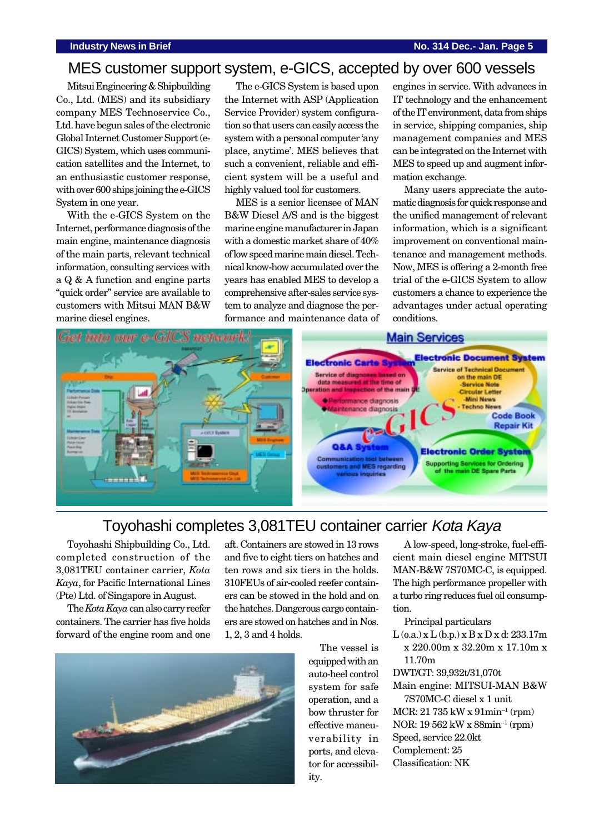### MES customer support system, e-GICS, accepted by over 600 vessels

Mitsui Engineering & Shipbuilding Co., Ltd. (MES) and its subsidiary company MES Technoservice Co., Ltd. have begun sales of the electronic Global Internet Customer Support (e-GICS) System, which uses communication satellites and the Internet, to an enthusiastic customer response, with over 600 ships joining the e-GICS System in one year.

With the e-GICS System on the Internet, performance diagnosis of the main engine, maintenance diagnosis of the main parts, relevant technical information, consulting services with a Q & A function and engine parts "quick order" service are available to customers with Mitsui MAN B&W marine diesel engines.

The e-GICS System is based upon the Internet with ASP (Application Service Provider) system configuration so that users can easily access the system with a personal computer 'any place, anytime'. MES believes that such a convenient, reliable and efficient system will be a useful and highly valued tool for customers.

MES is a senior licensee of MAN B&W Diesel A/S and is the biggest marine engine manufacturer in Japan with a domestic market share of 40% of low speed marine main diesel. Technical know-how accumulated over the years has enabled MES to develop a comprehensive after-sales service system to analyze and diagnose the performance and maintenance data of engines in service. With advances in IT technology and the enhancement of the IT environment, data from ships in service, shipping companies, ship management companies and MES can be integrated on the Internet with MES to speed up and augment information exchange.

Many users appreciate the automatic diagnosis for quick response and the unified management of relevant information, which is a significant improvement on conventional maintenance and management methods. Now, MES is offering a 2-month free trial of the e-GICS System to allow customers a chance to experience the advantages under actual operating conditions.



### Toyohashi completes 3,081TEU container carrier Kota Kaya

Toyohashi Shipbuilding Co., Ltd. completed construction of the 3,081TEU container carrier, *Kota Kaya*, for Pacific International Lines (Pte) Ltd. of Singapore in August.

The *Kota Kaya* can also carry reefer containers. The carrier has five holds forward of the engine room and one aft. Containers are stowed in 13 rows and five to eight tiers on hatches and ten rows and six tiers in the holds. 310FEUs of air-cooled reefer containers can be stowed in the hold and on the hatches. Dangerous cargo containers are stowed on hatches and in Nos. 1, 2, 3 and 4 holds.



The vessel is equipped with an auto-heel control system for safe operation, and a bow thruster for effective maneuverability in ports, and elevator for accessibility.

A low-speed, long-stroke, fuel-efficient main diesel engine MITSUI MAN-B&W 7S70MC-C, is equipped. The high performance propeller with a turbo ring reduces fuel oil consumption.

Principal particulars

 $L$  (o.a.) x  $L$  (b.p.) x  $B$  x  $D$  x d: 233.17m x 220.00m x 32.20m x 17.10m x 11.70m

DWT/GT: 39,932t/31,070t

Main engine: MITSUI-MAN B&W

7S70MC-C diesel x 1 unit  $MCR: 21735$  kW x  $91$ min<sup>-1</sup> (rpm) NOR: 19 562 kW x 88min<sup>-1</sup> (rpm) Speed, service 22.0kt Complement: 25 Classification: NK